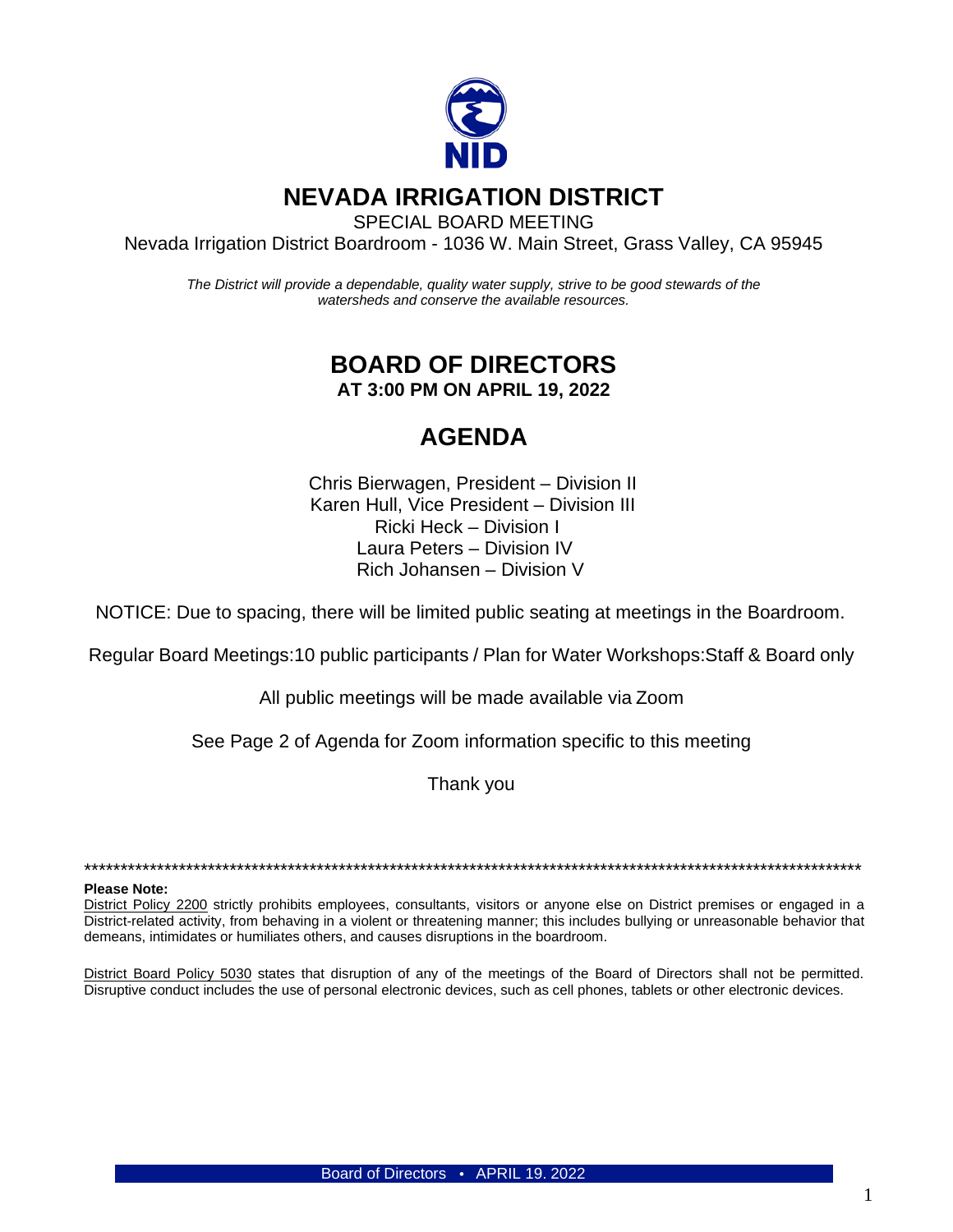

# **NEVADA IRRIGATION DISTRICT**

**SPECIAL BOARD MEETING** Nevada Irrigation District Boardroom - 1036 W. Main Street, Grass Valley, CA 95945

The District will provide a dependable, quality water supply, strive to be good stewards of the watersheds and conserve the available resources.

### **BOARD OF DIRECTORS** AT 3:00 PM ON APRIL 19, 2022

## **AGENDA**

Chris Bierwagen, President - Division II Karen Hull, Vice President - Division III Ricki Heck - Division I Laura Peters - Division IV Rich Johansen - Division V

NOTICE: Due to spacing, there will be limited public seating at meetings in the Boardroom.

Regular Board Meetings:10 public participants / Plan for Water Workshops: Staff & Board only

All public meetings will be made available via Zoom

See Page 2 of Agenda for Zoom information specific to this meeting

Thank you

#### **Please Note:**

District Policy 2200 strictly prohibits employees, consultants, visitors or anyone else on District premises or engaged in a District-related activity, from behaving in a violent or threatening manner; this includes bullying or unreasonable behavior that demeans, intimidates or humiliates others, and causes disruptions in the boardroom.

District Board Policy 5030 states that disruption of any of the meetings of the Board of Directors shall not be permitted. Disruptive conduct includes the use of personal electronic devices, such as cell phones, tablets or other electronic devices.